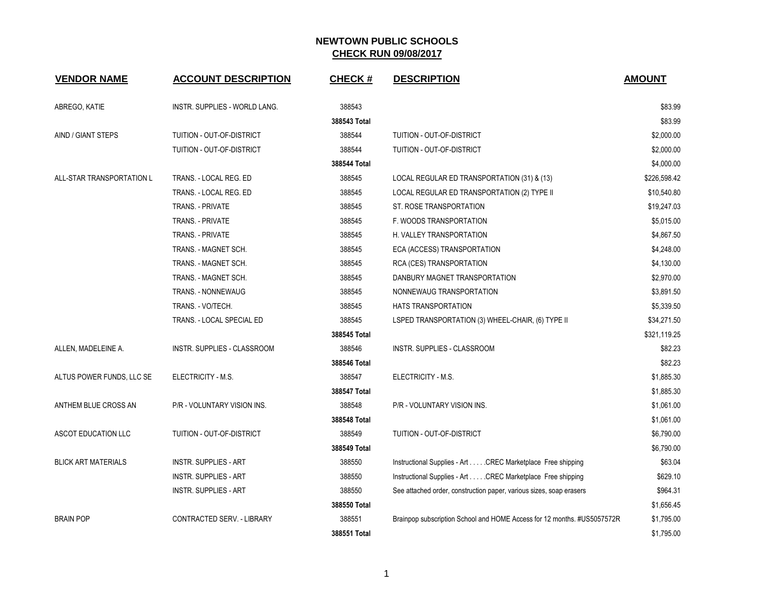| <b>VENDOR NAME</b>         | <b>ACCOUNT DESCRIPTION</b>    | <b>CHECK#</b> | <b>DESCRIPTION</b>                                                      | <b>AMOUNT</b> |
|----------------------------|-------------------------------|---------------|-------------------------------------------------------------------------|---------------|
| ABREGO, KATIE              | INSTR. SUPPLIES - WORLD LANG. | 388543        |                                                                         | \$83.99       |
|                            |                               | 388543 Total  |                                                                         | \$83.99       |
| AIND / GIANT STEPS         | TUITION - OUT-OF-DISTRICT     | 388544        | TUITION - OUT-OF-DISTRICT                                               | \$2,000.00    |
|                            | TUITION - OUT-OF-DISTRICT     | 388544        | TUITION - OUT-OF-DISTRICT                                               | \$2,000.00    |
|                            |                               | 388544 Total  |                                                                         | \$4,000.00    |
| ALL-STAR TRANSPORTATION L  | TRANS. - LOCAL REG. ED        | 388545        | LOCAL REGULAR ED TRANSPORTATION (31) & (13)                             | \$226,598.42  |
|                            | TRANS. - LOCAL REG. ED        | 388545        | LOCAL REGULAR ED TRANSPORTATION (2) TYPE II                             | \$10,540.80   |
|                            | TRANS. - PRIVATE              | 388545        | ST. ROSE TRANSPORTATION                                                 | \$19,247.03   |
|                            | TRANS. - PRIVATE              | 388545        | F. WOODS TRANSPORTATION                                                 | \$5,015.00    |
|                            | TRANS. - PRIVATE              | 388545        | H. VALLEY TRANSPORTATION                                                | \$4,867.50    |
|                            | TRANS. - MAGNET SCH.          | 388545        | ECA (ACCESS) TRANSPORTATION                                             | \$4,248.00    |
|                            | TRANS. - MAGNET SCH.          | 388545        | RCA (CES) TRANSPORTATION                                                | \$4,130.00    |
|                            | TRANS. - MAGNET SCH.          | 388545        | DANBURY MAGNET TRANSPORTATION                                           | \$2,970.00    |
|                            | <b>TRANS. - NONNEWAUG</b>     | 388545        | NONNEWAUG TRANSPORTATION                                                | \$3,891.50    |
|                            | TRANS. - VO/TECH.             | 388545        | HATS TRANSPORTATION                                                     | \$5,339.50    |
|                            | TRANS. - LOCAL SPECIAL ED     | 388545        | LSPED TRANSPORTATION (3) WHEEL-CHAIR, (6) TYPE II                       | \$34,271.50   |
|                            |                               | 388545 Total  |                                                                         | \$321,119.25  |
| ALLEN, MADELEINE A.        | INSTR. SUPPLIES - CLASSROOM   | 388546        | INSTR. SUPPLIES - CLASSROOM                                             | \$82.23       |
|                            |                               | 388546 Total  |                                                                         | \$82.23       |
| ALTUS POWER FUNDS, LLC SE  | ELECTRICITY - M.S.            | 388547        | ELECTRICITY - M.S.                                                      | \$1,885.30    |
|                            |                               | 388547 Total  |                                                                         | \$1,885.30    |
| ANTHEM BLUE CROSS AN       | P/R - VOLUNTARY VISION INS.   | 388548        | P/R - VOLUNTARY VISION INS.                                             | \$1,061.00    |
|                            |                               | 388548 Total  |                                                                         | \$1,061.00    |
| ASCOT EDUCATION LLC        | TUITION - OUT-OF-DISTRICT     | 388549        | TUITION - OUT-OF-DISTRICT                                               | \$6,790.00    |
|                            |                               | 388549 Total  |                                                                         | \$6,790.00    |
| <b>BLICK ART MATERIALS</b> | <b>INSTR. SUPPLIES - ART</b>  | 388550        | Instructional Supplies - Art CREC Marketplace Free shipping             | \$63.04       |
|                            | <b>INSTR. SUPPLIES - ART</b>  | 388550        | Instructional Supplies - Art CREC Marketplace Free shipping             | \$629.10      |
|                            | <b>INSTR. SUPPLIES - ART</b>  | 388550        | See attached order, construction paper, various sizes, soap erasers     | \$964.31      |
|                            |                               | 388550 Total  |                                                                         | \$1,656.45    |
| <b>BRAIN POP</b>           | CONTRACTED SERV. - LIBRARY    | 388551        | Brainpop subscription School and HOME Access for 12 months. #US5057572R | \$1,795.00    |
|                            |                               | 388551 Total  |                                                                         | \$1,795.00    |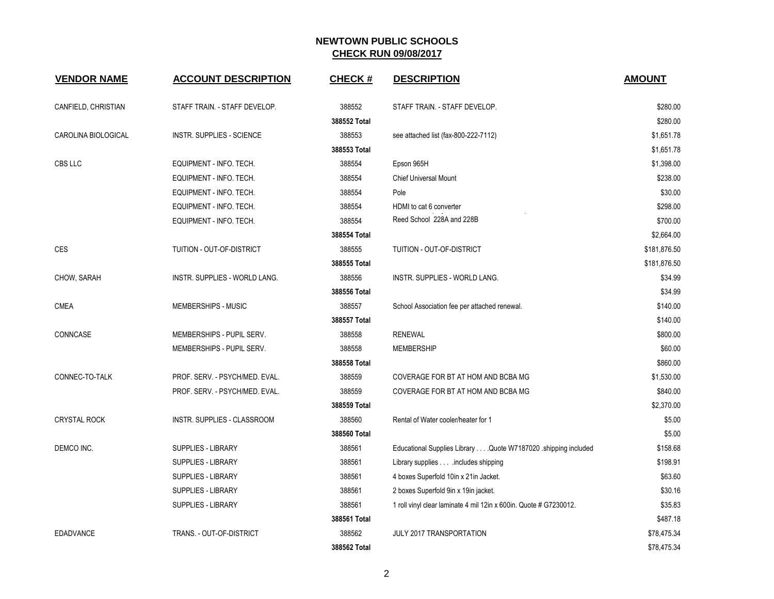| <b>VENDOR NAME</b>  | <b>ACCOUNT DESCRIPTION</b>       | <b>CHECK#</b> | <b>DESCRIPTION</b>                                                | <b>AMOUNT</b> |
|---------------------|----------------------------------|---------------|-------------------------------------------------------------------|---------------|
| CANFIELD, CHRISTIAN | STAFF TRAIN. - STAFF DEVELOP.    | 388552        | STAFF TRAIN. - STAFF DEVELOP.                                     | \$280.00      |
|                     |                                  | 388552 Total  |                                                                   | \$280.00      |
| CAROLINA BIOLOGICAL | <b>INSTR. SUPPLIES - SCIENCE</b> | 388553        | see attached list (fax-800-222-7112)                              | \$1,651.78    |
|                     |                                  | 388553 Total  |                                                                   | \$1,651.78    |
| CBS LLC             | EQUIPMENT - INFO. TECH.          | 388554        | Epson 965H                                                        | \$1,398.00    |
|                     | EQUIPMENT - INFO. TECH.          | 388554        | Chief Universal Mount                                             | \$238.00      |
|                     | EQUIPMENT - INFO. TECH.          | 388554        | Pole                                                              | \$30.00       |
|                     | EQUIPMENT - INFO. TECH.          | 388554        | HDMI to cat 6 converter                                           | \$298.00      |
|                     | EQUIPMENT - INFO. TECH.          | 388554        | Reed School 228A and 228B                                         | \$700.00      |
|                     |                                  | 388554 Total  |                                                                   | \$2,664.00    |
| <b>CES</b>          | TUITION - OUT-OF-DISTRICT        | 388555        | TUITION - OUT-OF-DISTRICT                                         | \$181,876.50  |
|                     |                                  | 388555 Total  |                                                                   | \$181,876.50  |
| CHOW, SARAH         | INSTR. SUPPLIES - WORLD LANG.    | 388556        | INSTR. SUPPLIES - WORLD LANG.                                     | \$34.99       |
|                     |                                  | 388556 Total  |                                                                   | \$34.99       |
| <b>CMEA</b>         | MEMBERSHIPS - MUSIC              | 388557        | School Association fee per attached renewal.                      | \$140.00      |
|                     |                                  | 388557 Total  |                                                                   | \$140.00      |
| CONNCASE            | MEMBERSHIPS - PUPIL SERV.        | 388558        | <b>RENEWAL</b>                                                    | \$800.00      |
|                     | MEMBERSHIPS - PUPIL SERV.        | 388558        | MEMBERSHIP                                                        | \$60.00       |
|                     |                                  | 388558 Total  |                                                                   | \$860.00      |
| CONNEC-TO-TALK      | PROF. SERV. - PSYCH/MED. EVAL.   | 388559        | COVERAGE FOR BT AT HOM AND BCBA MG                                | \$1,530.00    |
|                     | PROF. SERV. - PSYCH/MED. EVAL.   | 388559        | COVERAGE FOR BT AT HOM AND BCBA MG                                | \$840.00      |
|                     |                                  | 388559 Total  |                                                                   | \$2,370.00    |
| <b>CRYSTAL ROCK</b> | INSTR. SUPPLIES - CLASSROOM      | 388560        | Rental of Water cooler/heater for 1                               | \$5.00        |
|                     |                                  | 388560 Total  |                                                                   | \$5.00        |
| DEMCO INC.          | <b>SUPPLIES - LIBRARY</b>        | 388561        | Educational Supplies Library Quote W7187020 shipping included     | \$158.68      |
|                     | SUPPLIES - LIBRARY               | 388561        | Library supplies includes shipping                                | \$198.91      |
|                     | SUPPLIES - LIBRARY               | 388561        | 4 boxes Superfold 10in x 21in Jacket.                             | \$63.60       |
|                     | <b>SUPPLIES - LIBRARY</b>        | 388561        | 2 boxes Superfold 9in x 19in jacket.                              | \$30.16       |
|                     | SUPPLIES - LIBRARY               | 388561        | 1 roll vinyl clear laminate 4 mil 12in x 600in. Quote # G7230012. | \$35.83       |
|                     |                                  | 388561 Total  |                                                                   | \$487.18      |
| <b>EDADVANCE</b>    | TRANS. - OUT-OF-DISTRICT         | 388562        | JULY 2017 TRANSPORTATION                                          | \$78,475.34   |
|                     |                                  | 388562 Total  |                                                                   | \$78,475.34   |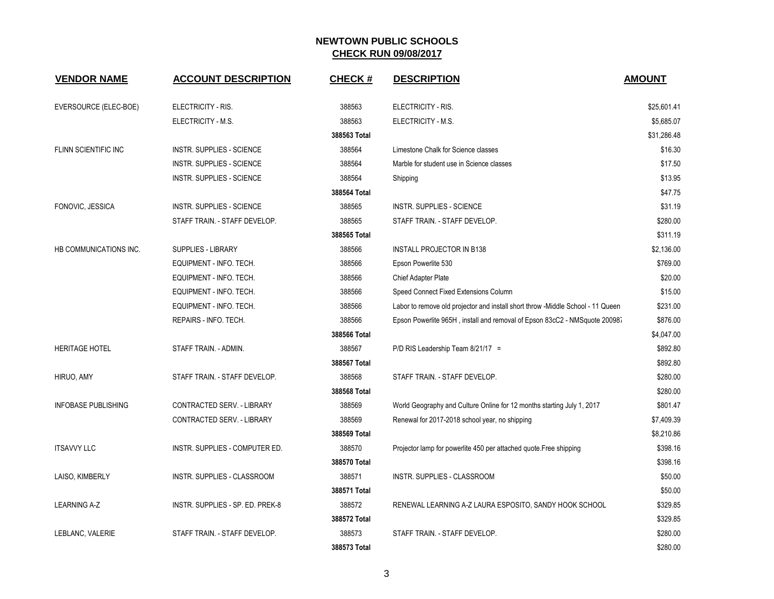| <b>VENDOR NAME</b>         | <b>ACCOUNT DESCRIPTION</b>       | <b>CHECK#</b> | <b>DESCRIPTION</b>                                                              | <b>AMOUNT</b> |
|----------------------------|----------------------------------|---------------|---------------------------------------------------------------------------------|---------------|
| EVERSOURCE (ELEC-BOE)      | ELECTRICITY - RIS.               | 388563        | ELECTRICITY - RIS.                                                              | \$25.601.41   |
|                            | ELECTRICITY - M.S.               | 388563        | ELECTRICITY - M.S.                                                              | \$5,685.07    |
|                            |                                  | 388563 Total  |                                                                                 | \$31,286.48   |
| FLINN SCIENTIFIC INC       | <b>INSTR. SUPPLIES - SCIENCE</b> | 388564        | Limestone Chalk for Science classes                                             | \$16.30       |
|                            | <b>INSTR. SUPPLIES - SCIENCE</b> | 388564        | Marble for student use in Science classes                                       | \$17.50       |
|                            | <b>INSTR. SUPPLIES - SCIENCE</b> | 388564        | Shipping                                                                        | \$13.95       |
|                            |                                  | 388564 Total  |                                                                                 | \$47.75       |
| FONOVIC, JESSICA           | <b>INSTR. SUPPLIES - SCIENCE</b> | 388565        | <b>INSTR. SUPPLIES - SCIENCE</b>                                                | \$31.19       |
|                            | STAFF TRAIN. - STAFF DEVELOP.    | 388565        | STAFF TRAIN. - STAFF DEVELOP.                                                   | \$280.00      |
|                            |                                  | 388565 Total  |                                                                                 | \$311.19      |
| HB COMMUNICATIONS INC.     | <b>SUPPLIES - LIBRARY</b>        | 388566        | <b>INSTALL PROJECTOR IN B138</b>                                                | \$2,136.00    |
|                            | EQUIPMENT - INFO. TECH.          | 388566        | Epson Powerlite 530                                                             | \$769.00      |
|                            | EQUIPMENT - INFO. TECH.          | 388566        | Chief Adapter Plate                                                             | \$20.00       |
|                            | EQUIPMENT - INFO. TECH.          | 388566        | Speed Connect Fixed Extensions Column                                           | \$15.00       |
|                            | EQUIPMENT - INFO. TECH.          | 388566        | Labor to remove old projector and install short throw -Middle School - 11 Queen | \$231.00      |
|                            | REPAIRS - INFO. TECH.            | 388566        | Epson Powerlite 965H, install and removal of Epson 83cC2 - NMSquote 20098.      | \$876.00      |
|                            |                                  | 388566 Total  |                                                                                 | \$4,047.00    |
| <b>HERITAGE HOTEL</b>      | STAFF TRAIN. - ADMIN.            | 388567        | P/D RIS Leadership Team 8/21/17 =                                               | \$892.80      |
|                            |                                  | 388567 Total  |                                                                                 | \$892.80      |
| HIRUO, AMY                 | STAFF TRAIN. - STAFF DEVELOP.    | 388568        | STAFF TRAIN. - STAFF DEVELOP.                                                   | \$280.00      |
|                            |                                  | 388568 Total  |                                                                                 | \$280.00      |
| <b>INFOBASE PUBLISHING</b> | CONTRACTED SERV. - LIBRARY       | 388569        | World Geography and Culture Online for 12 months starting July 1, 2017          | \$801.47      |
|                            | CONTRACTED SERV. - LIBRARY       | 388569        | Renewal for 2017-2018 school year, no shipping                                  | \$7,409.39    |
|                            |                                  | 388569 Total  |                                                                                 | \$8,210.86    |
| <b>ITSAVVY LLC</b>         | INSTR. SUPPLIES - COMPUTER ED.   | 388570        | Projector lamp for powerlite 450 per attached quote.Free shipping               | \$398.16      |
|                            |                                  | 388570 Total  |                                                                                 | \$398.16      |
| LAISO, KIMBERLY            | INSTR. SUPPLIES - CLASSROOM      | 388571        | INSTR. SUPPLIES - CLASSROOM                                                     | \$50.00       |
|                            |                                  | 388571 Total  |                                                                                 | \$50.00       |
| <b>LEARNING A-Z</b>        | INSTR. SUPPLIES - SP. ED. PREK-8 | 388572        | RENEWAL LEARNING A-Z LAURA ESPOSITO, SANDY HOOK SCHOOL                          | \$329.85      |
|                            |                                  | 388572 Total  |                                                                                 | \$329.85      |
| LEBLANC, VALERIE           | STAFF TRAIN. - STAFF DEVELOP.    | 388573        | STAFF TRAIN. - STAFF DEVELOP.                                                   | \$280.00      |
|                            |                                  | 388573 Total  |                                                                                 | \$280.00      |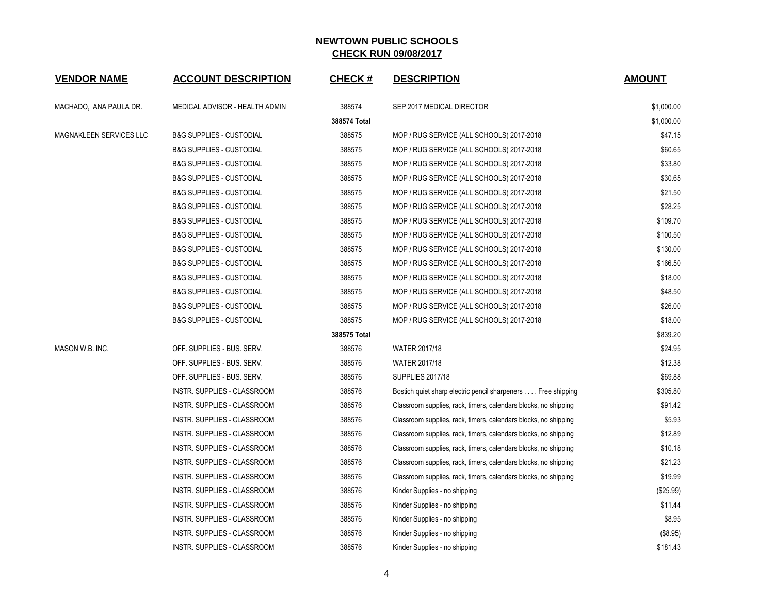| <b>VENDOR NAME</b>      | <b>ACCOUNT DESCRIPTION</b>          | <b>CHECK#</b> | <b>DESCRIPTION</b>                                              | <b>AMOUNT</b> |
|-------------------------|-------------------------------------|---------------|-----------------------------------------------------------------|---------------|
| MACHADO, ANA PAULA DR.  | MEDICAL ADVISOR - HEALTH ADMIN      | 388574        | SEP 2017 MEDICAL DIRECTOR                                       | \$1,000.00    |
|                         |                                     | 388574 Total  |                                                                 | \$1,000.00    |
| MAGNAKLEEN SERVICES LLC | <b>B&amp;G SUPPLIES - CUSTODIAL</b> | 388575        | MOP / RUG SERVICE (ALL SCHOOLS) 2017-2018                       | \$47.15       |
|                         | <b>B&amp;G SUPPLIES - CUSTODIAL</b> | 388575        | MOP / RUG SERVICE (ALL SCHOOLS) 2017-2018                       | \$60.65       |
|                         | <b>B&amp;G SUPPLIES - CUSTODIAL</b> | 388575        | MOP / RUG SERVICE (ALL SCHOOLS) 2017-2018                       | \$33.80       |
|                         | <b>B&amp;G SUPPLIES - CUSTODIAL</b> | 388575        | MOP / RUG SERVICE (ALL SCHOOLS) 2017-2018                       | \$30.65       |
|                         | <b>B&amp;G SUPPLIES - CUSTODIAL</b> | 388575        | MOP / RUG SERVICE (ALL SCHOOLS) 2017-2018                       | \$21.50       |
|                         | <b>B&amp;G SUPPLIES - CUSTODIAL</b> | 388575        | MOP / RUG SERVICE (ALL SCHOOLS) 2017-2018                       | \$28.25       |
|                         | <b>B&amp;G SUPPLIES - CUSTODIAL</b> | 388575        | MOP / RUG SERVICE (ALL SCHOOLS) 2017-2018                       | \$109.70      |
|                         | <b>B&amp;G SUPPLIES - CUSTODIAL</b> | 388575        | MOP / RUG SERVICE (ALL SCHOOLS) 2017-2018                       | \$100.50      |
|                         | <b>B&amp;G SUPPLIES - CUSTODIAL</b> | 388575        | MOP / RUG SERVICE (ALL SCHOOLS) 2017-2018                       | \$130.00      |
|                         | <b>B&amp;G SUPPLIES - CUSTODIAL</b> | 388575        | MOP / RUG SERVICE (ALL SCHOOLS) 2017-2018                       | \$166.50      |
|                         | <b>B&amp;G SUPPLIES - CUSTODIAL</b> | 388575        | MOP / RUG SERVICE (ALL SCHOOLS) 2017-2018                       | \$18.00       |
|                         | <b>B&amp;G SUPPLIES - CUSTODIAL</b> | 388575        | MOP / RUG SERVICE (ALL SCHOOLS) 2017-2018                       | \$48.50       |
|                         | <b>B&amp;G SUPPLIES - CUSTODIAL</b> | 388575        | MOP / RUG SERVICE (ALL SCHOOLS) 2017-2018                       | \$26.00       |
|                         | <b>B&amp;G SUPPLIES - CUSTODIAL</b> | 388575        | MOP / RUG SERVICE (ALL SCHOOLS) 2017-2018                       | \$18.00       |
|                         |                                     | 388575 Total  |                                                                 | \$839.20      |
| MASON W.B. INC.         | OFF. SUPPLIES - BUS. SERV.          | 388576        | <b>WATER 2017/18</b>                                            | \$24.95       |
|                         | OFF. SUPPLIES - BUS. SERV.          | 388576        | WATER 2017/18                                                   | \$12.38       |
|                         | OFF. SUPPLIES - BUS. SERV.          | 388576        | <b>SUPPLIES 2017/18</b>                                         | \$69.88       |
|                         | INSTR. SUPPLIES - CLASSROOM         | 388576        | Bostich quiet sharp electric pencil sharpeners Free shipping    | \$305.80      |
|                         | INSTR. SUPPLIES - CLASSROOM         | 388576        | Classroom supplies, rack, timers, calendars blocks, no shipping | \$91.42       |
|                         | INSTR. SUPPLIES - CLASSROOM         | 388576        | Classroom supplies, rack, timers, calendars blocks, no shipping | \$5.93        |
|                         | INSTR. SUPPLIES - CLASSROOM         | 388576        | Classroom supplies, rack, timers, calendars blocks, no shipping | \$12.89       |
|                         | INSTR. SUPPLIES - CLASSROOM         | 388576        | Classroom supplies, rack, timers, calendars blocks, no shipping | \$10.18       |
|                         | <b>INSTR. SUPPLIES - CLASSROOM</b>  | 388576        | Classroom supplies, rack, timers, calendars blocks, no shipping | \$21.23       |
|                         | INSTR. SUPPLIES - CLASSROOM         | 388576        | Classroom supplies, rack, timers, calendars blocks, no shipping | \$19.99       |
|                         | INSTR. SUPPLIES - CLASSROOM         | 388576        | Kinder Supplies - no shipping                                   | (\$25.99)     |
|                         | INSTR. SUPPLIES - CLASSROOM         | 388576        | Kinder Supplies - no shipping                                   | \$11.44       |
|                         | INSTR. SUPPLIES - CLASSROOM         | 388576        | Kinder Supplies - no shipping                                   | \$8.95        |
|                         | <b>INSTR. SUPPLIES - CLASSROOM</b>  | 388576        | Kinder Supplies - no shipping                                   | (\$8.95)      |
|                         | INSTR. SUPPLIES - CLASSROOM         | 388576        | Kinder Supplies - no shipping                                   | \$181.43      |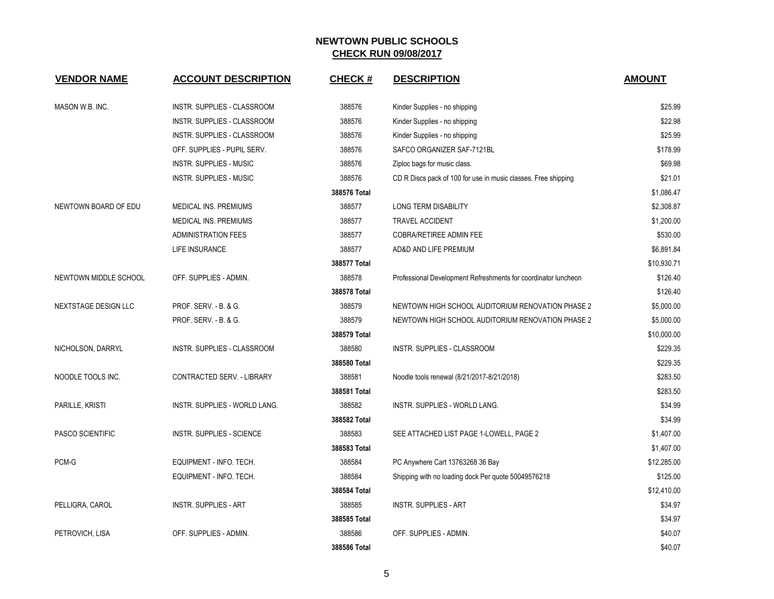| <b>VENDOR NAME</b>    | <b>ACCOUNT DESCRIPTION</b>     | <b>CHECK#</b> | <b>DESCRIPTION</b>                                             | <b>AMOUNT</b> |
|-----------------------|--------------------------------|---------------|----------------------------------------------------------------|---------------|
| MASON W.B. INC.       | INSTR. SUPPLIES - CLASSROOM    | 388576        | Kinder Supplies - no shipping                                  | \$25.99       |
|                       | INSTR. SUPPLIES - CLASSROOM    | 388576        | Kinder Supplies - no shipping                                  | \$22.98       |
|                       | INSTR. SUPPLIES - CLASSROOM    | 388576        | Kinder Supplies - no shipping                                  | \$25.99       |
|                       | OFF. SUPPLIES - PUPIL SERV.    | 388576        | SAFCO ORGANIZER SAF-7121BL                                     | \$178.99      |
|                       | <b>INSTR. SUPPLIES - MUSIC</b> | 388576        | Ziploc bags for music class.                                   | \$69.98       |
|                       | <b>INSTR. SUPPLIES - MUSIC</b> | 388576        | CD R Discs pack of 100 for use in music classes. Free shipping | \$21.01       |
|                       |                                | 388576 Total  |                                                                | \$1,086.47    |
| NEWTOWN BOARD OF EDU  | <b>MEDICAL INS. PREMIUMS</b>   | 388577        | LONG TERM DISABILITY                                           | \$2,308.87    |
|                       | MEDICAL INS. PREMIUMS          | 388577        | <b>TRAVEL ACCIDENT</b>                                         | \$1,200.00    |
|                       | <b>ADMINISTRATION FEES</b>     | 388577        | <b>COBRA/RETIREE ADMIN FEE</b>                                 | \$530.00      |
|                       | LIFE INSURANCE                 | 388577        | AD&D AND LIFE PREMIUM                                          | \$6,891.84    |
|                       |                                | 388577 Total  |                                                                | \$10,930.71   |
| NEWTOWN MIDDLE SCHOOL | OFF. SUPPLIES - ADMIN.         | 388578        | Professional Development Refreshments for coordinator luncheon | \$126.40      |
|                       |                                | 388578 Total  |                                                                | \$126.40      |
| NEXTSTAGE DESIGN LLC  | PROF. SERV. - B. & G.          | 388579        | NEWTOWN HIGH SCHOOL AUDITORIUM RENOVATION PHASE 2              | \$5,000.00    |
|                       | PROF. SERV. - B. & G.          | 388579        | NEWTOWN HIGH SCHOOL AUDITORIUM RENOVATION PHASE 2              | \$5,000.00    |
|                       |                                | 388579 Total  |                                                                | \$10,000.00   |
| NICHOLSON, DARRYL     | INSTR. SUPPLIES - CLASSROOM    | 388580        | INSTR. SUPPLIES - CLASSROOM                                    | \$229.35      |
|                       |                                | 388580 Total  |                                                                | \$229.35      |
| NOODLE TOOLS INC.     | CONTRACTED SERV. - LIBRARY     | 388581        | Noodle tools renewal (8/21/2017-8/21/2018)                     | \$283.50      |
|                       |                                | 388581 Total  |                                                                | \$283.50      |
| PARILLE, KRISTI       | INSTR. SUPPLIES - WORLD LANG.  | 388582        | INSTR. SUPPLIES - WORLD LANG.                                  | \$34.99       |
|                       |                                | 388582 Total  |                                                                | \$34.99       |
| PASCO SCIENTIFIC      | INSTR. SUPPLIES - SCIENCE      | 388583        | SEE ATTACHED LIST PAGE 1-LOWELL, PAGE 2                        | \$1,407.00    |
|                       |                                | 388583 Total  |                                                                | \$1,407.00    |
| PCM-G                 | EQUIPMENT - INFO. TECH.        | 388584        | PC Anywhere Cart 13763268 36 Bay                               | \$12,285.00   |
|                       | EQUIPMENT - INFO. TECH.        | 388584        | Shipping with no loading dock Per quote 50049576218            | \$125.00      |
|                       |                                | 388584 Total  |                                                                | \$12,410.00   |
| PELLIGRA, CAROL       | <b>INSTR. SUPPLIES - ART</b>   | 388585        | <b>INSTR. SUPPLIES - ART</b>                                   | \$34.97       |
|                       |                                | 388585 Total  |                                                                | \$34.97       |
| PETROVICH, LISA       | OFF. SUPPLIES - ADMIN.         | 388586        | OFF. SUPPLIES - ADMIN.                                         | \$40.07       |
|                       |                                | 388586 Total  |                                                                | \$40.07       |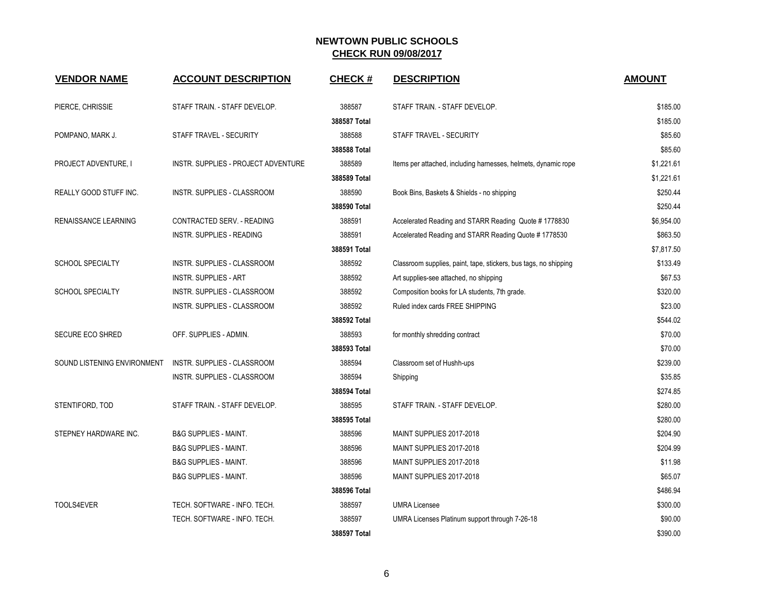| <b>VENDOR NAME</b>          | <b>ACCOUNT DESCRIPTION</b>          | <b>CHECK#</b> | <b>DESCRIPTION</b>                                               | <b>AMOUNT</b> |
|-----------------------------|-------------------------------------|---------------|------------------------------------------------------------------|---------------|
| PIERCE, CHRISSIE            | STAFF TRAIN. - STAFF DEVELOP.       | 388587        | STAFF TRAIN. - STAFF DEVELOP.                                    | \$185.00      |
|                             |                                     | 388587 Total  |                                                                  | \$185.00      |
| POMPANO, MARK J.            | STAFF TRAVEL - SECURITY             | 388588        | STAFF TRAVEL - SECURITY                                          | \$85.60       |
|                             |                                     | 388588 Total  |                                                                  | \$85.60       |
| PROJECT ADVENTURE, I        | INSTR. SUPPLIES - PROJECT ADVENTURE | 388589        | Items per attached, including harnesses, helmets, dynamic rope   | \$1,221.61    |
|                             |                                     | 388589 Total  |                                                                  | \$1,221.61    |
| REALLY GOOD STUFF INC.      | <b>INSTR. SUPPLIES - CLASSROOM</b>  | 388590        | Book Bins, Baskets & Shields - no shipping                       | \$250.44      |
|                             |                                     | 388590 Total  |                                                                  | \$250.44      |
| RENAISSANCE LEARNING        | CONTRACTED SERV. - READING          | 388591        | Accelerated Reading and STARR Reading Quote #1778830             | \$6,954.00    |
|                             | <b>INSTR. SUPPLIES - READING</b>    | 388591        | Accelerated Reading and STARR Reading Quote # 1778530            | \$863.50      |
|                             |                                     | 388591 Total  |                                                                  | \$7,817.50    |
| SCHOOL SPECIALTY            | INSTR. SUPPLIES - CLASSROOM         | 388592        | Classroom supplies, paint, tape, stickers, bus tags, no shipping | \$133.49      |
|                             | <b>INSTR. SUPPLIES - ART</b>        | 388592        | Art supplies-see attached, no shipping                           | \$67.53       |
| <b>SCHOOL SPECIALTY</b>     | INSTR. SUPPLIES - CLASSROOM         | 388592        | Composition books for LA students, 7th grade.                    | \$320.00      |
|                             | <b>INSTR. SUPPLIES - CLASSROOM</b>  | 388592        | Ruled index cards FREE SHIPPING                                  | \$23.00       |
|                             |                                     | 388592 Total  |                                                                  | \$544.02      |
| <b>SECURE ECO SHRED</b>     | OFF. SUPPLIES - ADMIN.              | 388593        | for monthly shredding contract                                   | \$70.00       |
|                             |                                     | 388593 Total  |                                                                  | \$70.00       |
| SOUND LISTENING ENVIRONMENT | INSTR. SUPPLIES - CLASSROOM         | 388594        | Classroom set of Hushh-ups                                       | \$239.00      |
|                             | INSTR. SUPPLIES - CLASSROOM         | 388594        | Shipping                                                         | \$35.85       |
|                             |                                     | 388594 Total  |                                                                  | \$274.85      |
| STENTIFORD, TOD             | STAFF TRAIN. - STAFF DEVELOP.       | 388595        | STAFF TRAIN. - STAFF DEVELOP.                                    | \$280.00      |
|                             |                                     | 388595 Total  |                                                                  | \$280.00      |
| STEPNEY HARDWARE INC.       | <b>B&amp;G SUPPLIES - MAINT.</b>    | 388596        | MAINT SUPPLIES 2017-2018                                         | \$204.90      |
|                             | <b>B&amp;G SUPPLIES - MAINT.</b>    | 388596        | MAINT SUPPLIES 2017-2018                                         | \$204.99      |
|                             | <b>B&amp;G SUPPLIES - MAINT.</b>    | 388596        | MAINT SUPPLIES 2017-2018                                         | \$11.98       |
|                             | <b>B&amp;G SUPPLIES - MAINT.</b>    | 388596        | MAINT SUPPLIES 2017-2018                                         | \$65.07       |
|                             |                                     | 388596 Total  |                                                                  | \$486.94      |
| TOOLS4EVER                  | TECH. SOFTWARE - INFO. TECH.        | 388597        | <b>UMRA Licensee</b>                                             | \$300.00      |
|                             | TECH. SOFTWARE - INFO. TECH.        | 388597        | UMRA Licenses Platinum support through 7-26-18                   | \$90.00       |
|                             |                                     | 388597 Total  |                                                                  | \$390.00      |